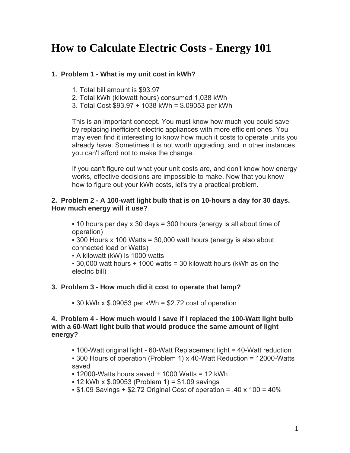# **How to Calculate Electric Costs - Energy 101**

# **1. Problem 1 - What is my unit cost in kWh?**

- 1. Total bill amount is \$93.97
- 2. Total kWh (kilowatt hours) consumed 1,038 kWh
- 3. Total Cost  $$93.97 \div 1038$  kWh = \$.09053 per kWh

This is an important concept. You must know how much you could save by replacing inefficient electric appliances with more efficient ones. You may even find it interesting to know how much it costs to operate units you already have. Sometimes it is not worth upgrading, and in other instances you can't afford not to make the change.

If you can't figure out what your unit costs are, and don't know how energy works, effective decisions are impossible to make. Now that you know how to figure out your kWh costs, let's try a practical problem.

#### **2. Problem 2 - A 100-watt light bulb that is on 10-hours a day for 30 days. How much energy will it use?**

 $\cdot$  10 hours per day x 30 days = 300 hours (energy is all about time of operation)

 $\cdot$  300 Hours x 100 Watts = 30,000 watt hours (energy is also about connected load or Watts)

▪ A kilowatt (kW) is 1000 watts

 $\cdot$  30,000 watt hours  $\div$  1000 watts = 30 kilowatt hours (kWh as on the electric bill)

# **3. Problem 3 - How much did it cost to operate that lamp?**

 $\cdot$  30 kWh x \$.09053 per kWh = \$2.72 cost of operation

#### **4. Problem 4 - How much would I save if I replaced the 100-Watt light bulb with a 60-Watt light bulb that would produce the same amount of light energy?**

▪ 100-Watt original light - 60-Watt Replacement light = 40-Watt reduction

▪ 300 Hours of operation (Problem 1) x 40-Watt Reduction = 12000-Watts saved

- $\cdot$  12000-Watts hours saved  $\div$  1000 Watts = 12 kWh
- $\cdot$  12 kWh x \$.09053 (Problem 1) = \$1.09 savings
- $\cdot$  \$1.09 Savings  $\div$  \$2.72 Original Cost of operation = .40 x 100 = 40%